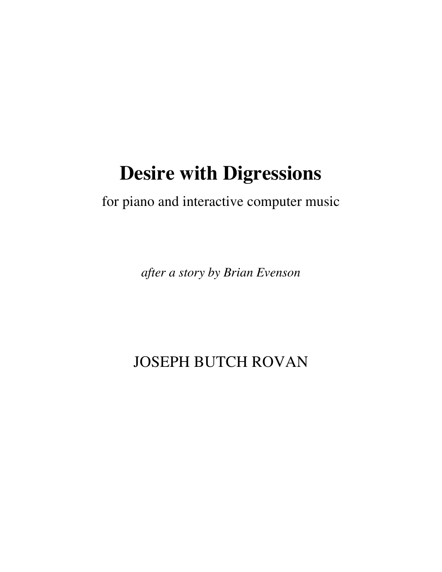# **Desire with Digressions**

for piano and interactive computer music

*after a story by Brian Evenson*

## JOSEPH BUTCH ROVAN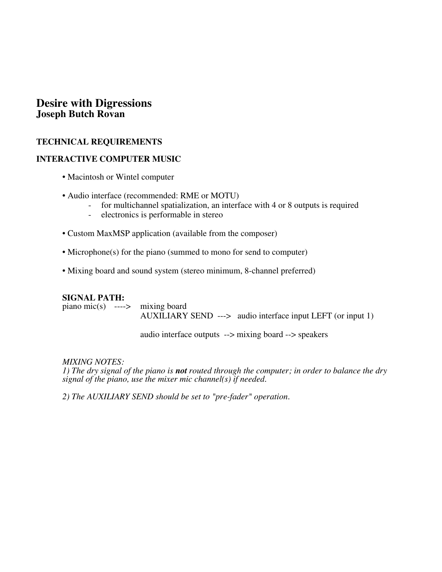### **Desire with Digressions Joseph Butch Rovan**

#### **TECHNICAL REQUIREMENTS**

#### **INTERACTIVE COMPUTER MUSIC**

- Macintosh or Wintel computer
- Audio interface (recommended: RME or MOTU)
	- for multichannel spatialization, an interface with 4 or 8 outputs is required
	- electronics is performable in stereo
- Custom MaxMSP application (available from the composer)
- Microphone(s) for the piano (summed to mono for send to computer)
- Mixing board and sound system (stereo minimum, 8-channel preferred)

#### **SIGNAL PATH:**

piano mic(s) ----> mixing board AUXILIARY SEND ---> audio interface input LEFT (or input 1)

audio interface outputs --> mixing board --> speakers

*MIXING NOTES:*

*1) The dry signal of the piano is not routed through the computer; in order to balance the dry signal of the piano, use the mixer mic channel(s) if needed.* 

*2) The AUXILIARY SEND should be set to "pre-fader" operation.*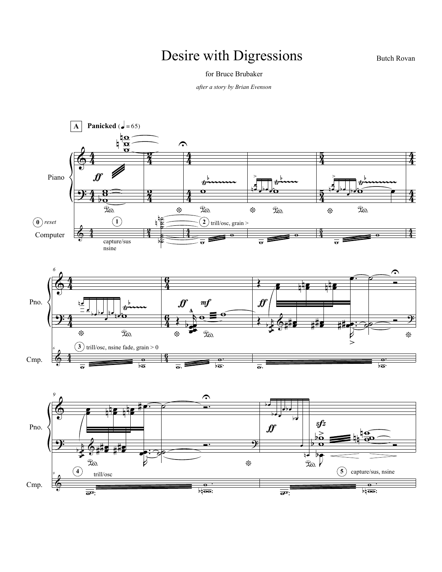### Desire with Digressions Butch Rovan

#### for Bruce Brubaker

*after a story by Brian Evenson*

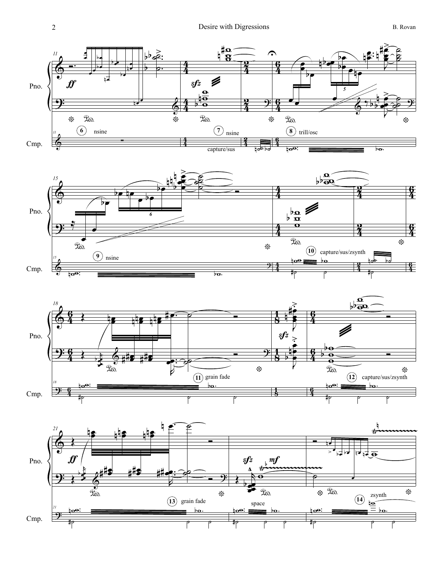





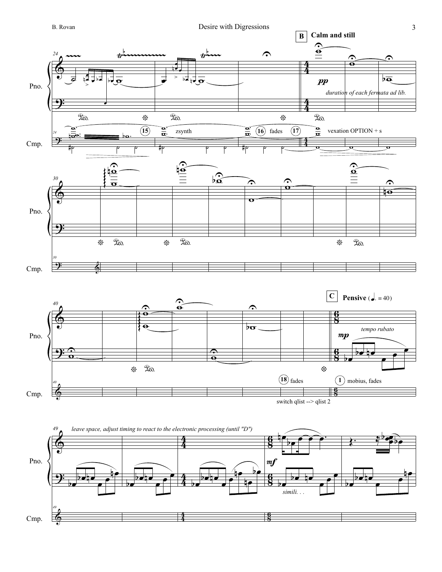

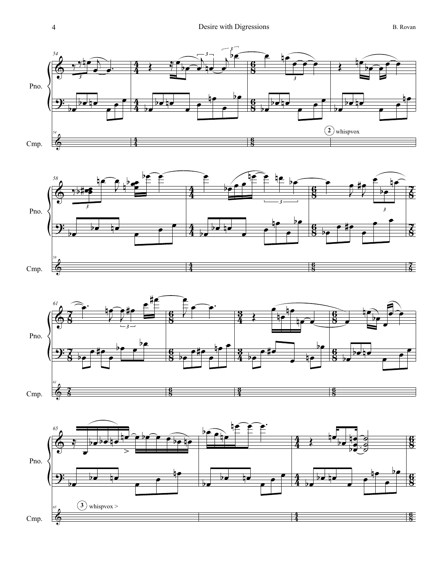





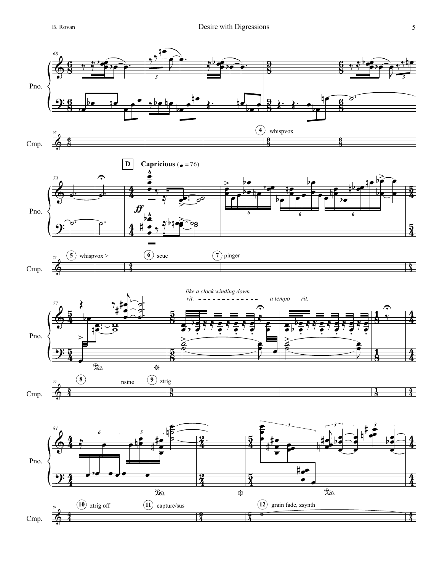

4

4



 $\Phi$ 

4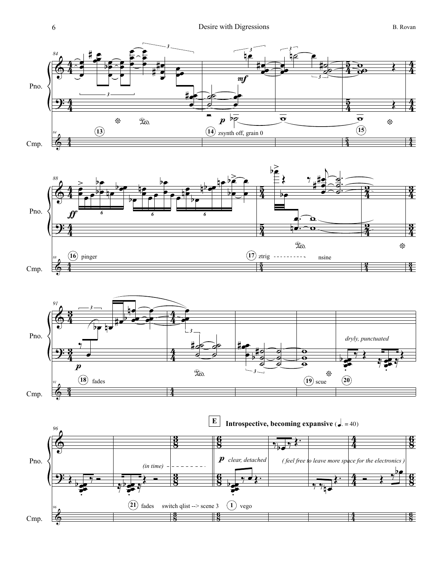





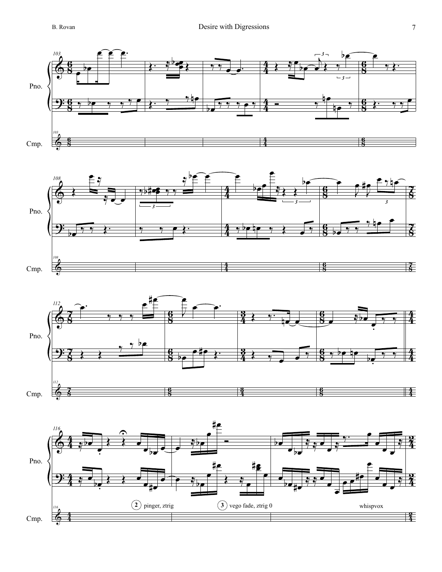





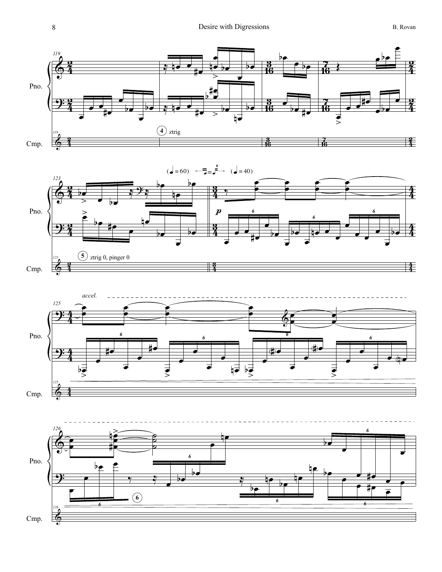

![](_page_9_Figure_3.jpeg)

![](_page_9_Figure_4.jpeg)

![](_page_9_Figure_5.jpeg)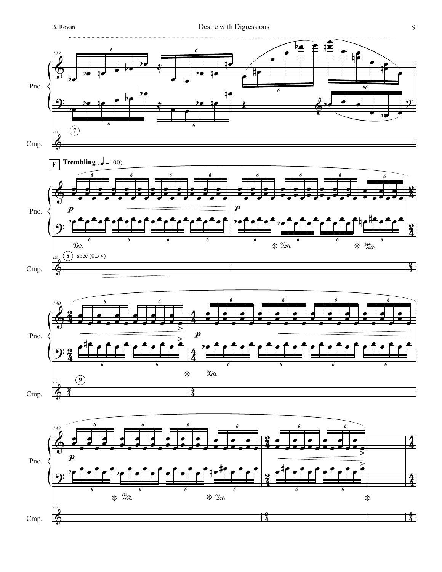![](_page_10_Figure_0.jpeg)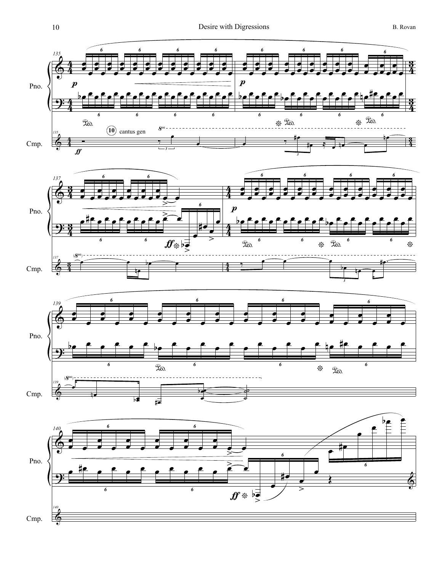![](_page_11_Figure_1.jpeg)

![](_page_11_Figure_2.jpeg)

![](_page_11_Figure_3.jpeg)

![](_page_11_Figure_4.jpeg)

![](_page_11_Figure_5.jpeg)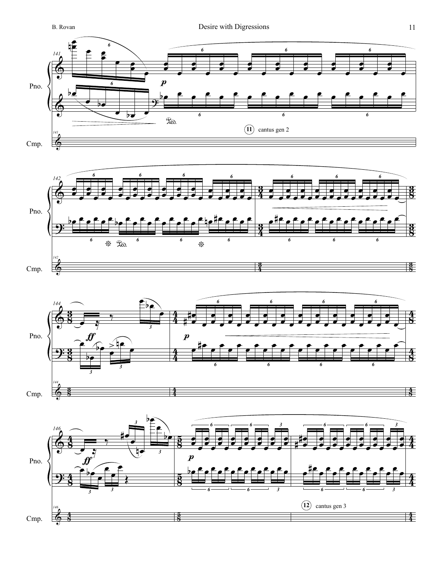![](_page_12_Figure_2.jpeg)

![](_page_12_Figure_3.jpeg)

![](_page_12_Figure_4.jpeg)

![](_page_12_Figure_5.jpeg)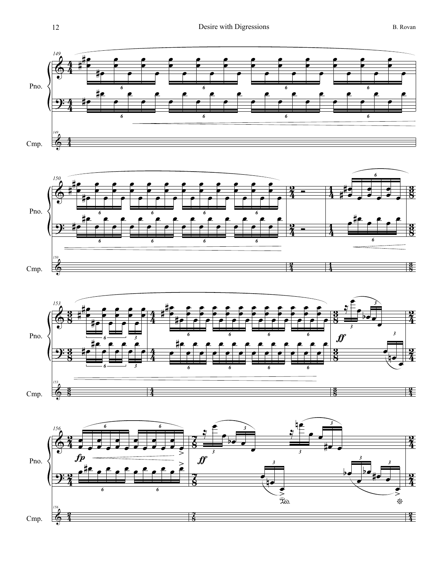![](_page_13_Figure_2.jpeg)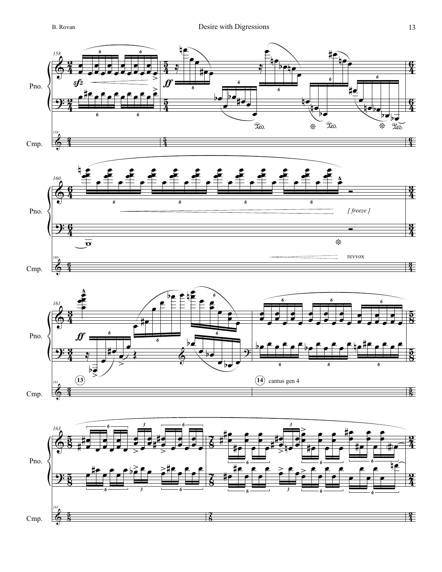![](_page_14_Figure_2.jpeg)

![](_page_14_Figure_3.jpeg)

![](_page_14_Figure_4.jpeg)

![](_page_14_Figure_5.jpeg)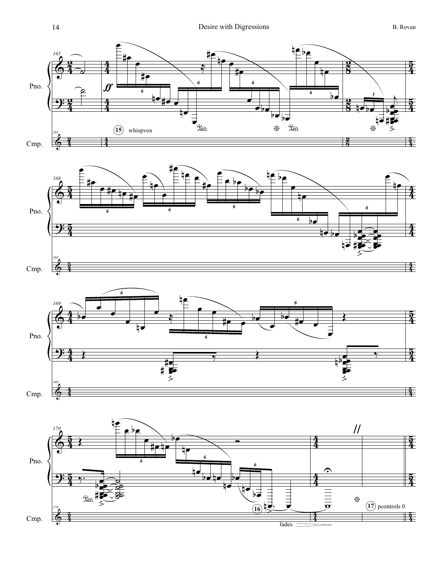![](_page_15_Figure_2.jpeg)

![](_page_15_Figure_3.jpeg)

![](_page_15_Figure_4.jpeg)

![](_page_15_Figure_5.jpeg)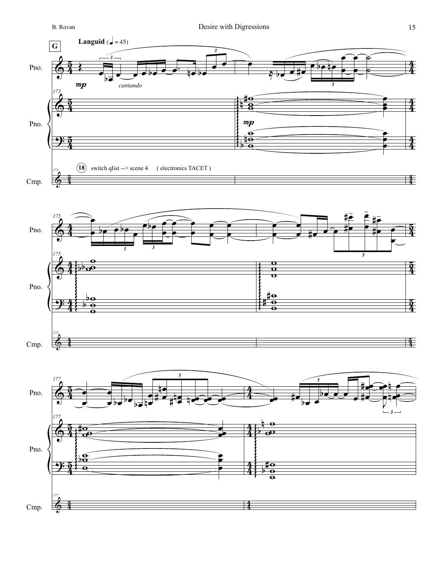![](_page_16_Figure_0.jpeg)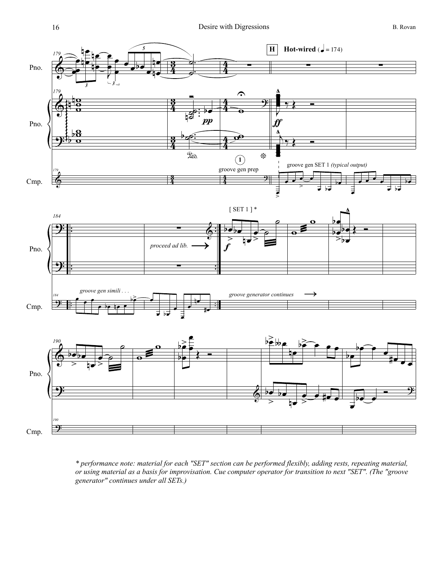![](_page_17_Figure_2.jpeg)

*\* performance note: material for each "SET" section can be performed flexibly, adding rests, repeating material, or using material as a basis for improvisation. Cue computer operator for transition to next "SET". (The "groove generator" continues under all SETs.)*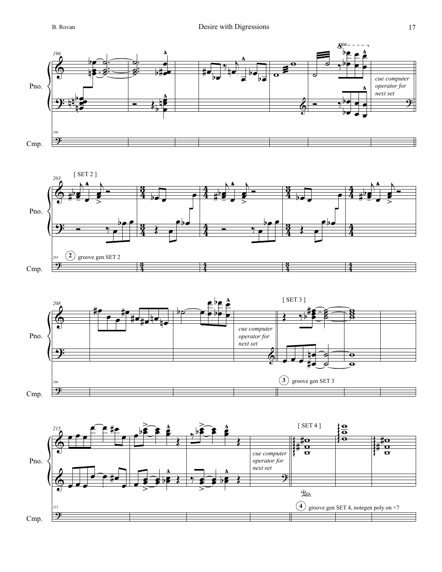![](_page_18_Figure_2.jpeg)

![](_page_18_Figure_3.jpeg)

![](_page_18_Figure_4.jpeg)

![](_page_18_Figure_5.jpeg)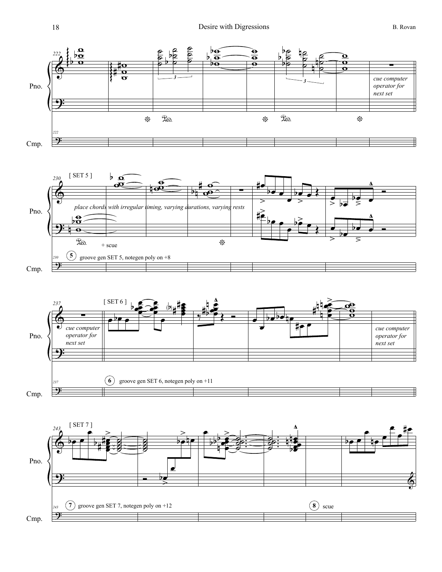![](_page_19_Figure_1.jpeg)

![](_page_19_Figure_2.jpeg)

Pno.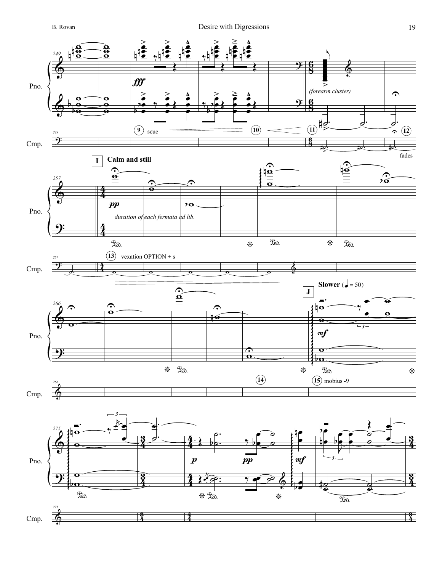![](_page_20_Figure_2.jpeg)